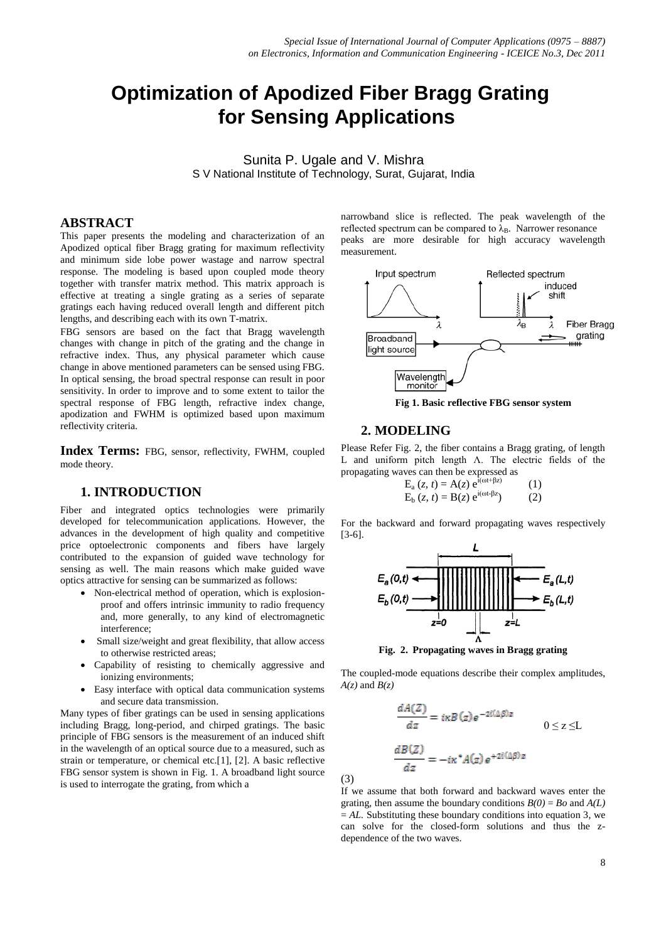# **Optimization of Apodized Fiber Bragg Grating for Sensing Applications**

Sunita P. Ugale and V. Mishra S V National Institute of Technology, Surat, Gujarat, India

## **ABSTRACT**

This paper presents the modeling and characterization of an Apodized optical fiber Bragg grating for maximum reflectivity and minimum side lobe power wastage and narrow spectral response. The modeling is based upon coupled mode theory together with transfer matrix method. This matrix approach is effective at treating a single grating as a series of separate gratings each having reduced overall length and different pitch lengths, and describing each with its own T-matrix.

FBG sensors are based on the fact that Bragg wavelength changes with change in pitch of the grating and the change in refractive index. Thus, any physical parameter which cause change in above mentioned parameters can be sensed using FBG. In optical sensing, the broad spectral response can result in poor sensitivity. In order to improve and to some extent to tailor the spectral response of FBG length, refractive index change, apodization and FWHM is optimized based upon maximum reflectivity criteria.

**Index Terms:** FBG, sensor, reflectivity, FWHM, coupled mode theory.

## **1. INTRODUCTION**

Fiber and integrated optics technologies were primarily developed for telecommunication applications. However, the advances in the development of high quality and competitive price optoelectronic components and fibers have largely contributed to the expansion of guided wave technology for sensing as well. The main reasons which make guided wave optics attractive for sensing can be summarized as follows:

- Non-electrical method of operation, which is explosionproof and offers intrinsic immunity to radio frequency and, more generally, to any kind of electromagnetic interference;
- Small size/weight and great flexibility, that allow access to otherwise restricted areas;
- Capability of resisting to chemically aggressive and ionizing environments;
- Easy interface with optical data communication systems and secure data transmission.

Many types of fiber gratings can be used in sensing applications including Bragg, long-period, and chirped gratings. The basic principle of FBG sensors is the measurement of an induced shift in the wavelength of an optical source due to a measured, such as strain or temperature, or chemical etc.[1], [2]. A basic reflective FBG sensor system is shown in Fig. 1. A broadband light source is used to interrogate the grating, from which a

narrowband slice is reflected. The peak wavelength of the reflected spectrum can be compared to  $\lambda_B$ . Narrower resonance peaks are more desirable for high accuracy wavelength measurement.



**Fig 1. Basic reflective FBG sensor system**

### **2. MODELING**

(3)

Please Refer Fig. 2, the fiber contains a Bragg grating, of length L and uniform pitch length Λ. The electric fields of the propagating waves can then be expressed as

$$
E_{a}(z, t) = A(z) e^{i(\omega t + \beta z)}
$$
 (1)  
\n
$$
E_{b}(z, t) = B(z) e^{i(\omega t + \beta z)}
$$
 (2)

For the backward and forward propagating waves respectively [3-6].



**Fig. 2. Propagating waves in Bragg grating**

The coupled-mode equations describe their complex amplitudes,  $A(z)$  and  $B(z)$ 

$$
\frac{dA(Z)}{dz} = i\kappa B(z)e^{-2i(\Delta\beta)z}
$$
  
\n
$$
\frac{dB(Z)}{dz} = -i\kappa^* A(z)e^{+2i(\Delta\beta)z}
$$
  
\n0 \le z \le L

If we assume that both forward and backward waves enter the grating, then assume the boundary conditions  $B(0) = Bo$  and  $A(L)$  $= AL$ . Substituting these boundary conditions into equation 3, we can solve for the closed-form solutions and thus the zdependence of the two waves.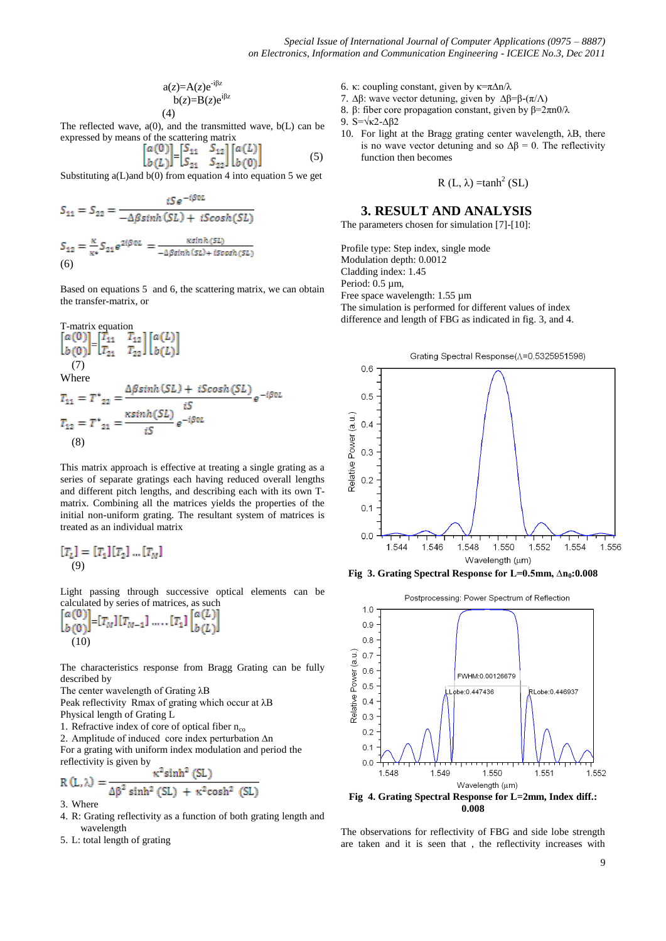$$
a(z)=A(z)e^{-i\beta z} \nb(z)=B(z)e^{i\beta z} \n(4)
$$

The reflected wave,  $a(0)$ , and the transmitted wave,  $b(L)$  can be expressed by means of the scattering matrix

$$
\begin{bmatrix} a(0) \\ b(L) \end{bmatrix} = \begin{bmatrix} S_{11} & S_{12} \\ S_{21} & S_{22} \end{bmatrix} \begin{bmatrix} a(L) \\ b(0) \end{bmatrix}
$$
 (5)

Substituting a(L)and b(0) from equation 4 into equation 5 we get

$$
S_{11} = S_{22} = \frac{iSe^{-i\beta 0L}}{-\Delta\beta \sinh(SL) + iScosh(SL)}
$$

$$
S_{12} = \frac{\kappa}{\kappa^*} S_{21} e^{2i\beta 0L} = \frac{\kappa \sinh(SL)}{-\Delta\beta \sinh(SL) + iScosh(SL)}
$$

$$
(6)
$$

Based on equations 5 and 6, the scattering matrix, we can obtain the transfer-matrix, or

T-matrix equation  
\n
$$
\begin{bmatrix}\na(0) \\
b(0)\n\end{bmatrix} = \begin{bmatrix}\nT_{11} & T_{12} \\
T_{21} & T_{22}\n\end{bmatrix} \begin{bmatrix}\na(L) \\
b(L)\n\end{bmatrix}
$$
\nWhere  
\n
$$
T_{11} = T^*_{22} = \frac{\Delta \beta \sinh(SL) + i\text{Scosh}(SL)}{iS} e^{-i\beta 0L}
$$
\n
$$
T_{12} = T^*_{21} = \frac{\kappa \sinh(SL)}{iS} e^{-i\beta 0L}
$$
\n(8)

This matrix approach is effective at treating a single grating as a series of separate gratings each having reduced overall lengths and different pitch lengths, and describing each with its own Tmatrix. Combining all the matrices yields the properties of the initial non-uniform grating. The resultant system of matrices is treated as an individual matrix

$$
[T_L] = [T_1][T_2] \dots [T_M]
$$
  
(9)

Light passing through successive optical elements can be calculated by series of matrices, as such

$$
\begin{bmatrix} a(0) \\ b(0) \end{bmatrix} = [T_M][T_{M-1}] \dots [T_1] \begin{bmatrix} a(L) \\ b(L) \end{bmatrix}
$$
  
(10)

The characteristics response from Bragg Grating can be fully described by

The center wavelength of Grating λB

Peak reflectivity Rmax of grating which occur at λB Physical length of Grating L

1. Refractive index of core of optical fiber  $n_{co}$ 

2. Amplitude of induced core index perturbation ∆n

For a grating with uniform index modulation and period the reflectivity is given by

$$
R(L,\lambda) = \frac{\kappa^2 \sinh^2 (SL)}{\Delta \beta^2 \sinh^2 (SL) + \kappa^2 \cosh^2 (SL)}
$$

3. Where

- 4. R: Grating reflectivity as a function of both grating length and wavelength
- 5. L: total length of grating
- 6. κ: coupling constant, given by  $\kappa = \frac{\pi \Delta n}{\lambda}$
- 7. ∆β: wave vector detuning, given by ∆β=β-(π/Λ)
- 8. β: fiber core propagation constant, given by  $β=2πn0/λ$
- 9. S=√κ2-∆β2
- 10. For light at the Bragg grating center wavelength, λB, there is no wave vector detuning and so  $Δβ = 0$ . The reflectivity function then becomes

$$
R(L, \lambda) = \tanh^2(SL)
$$

### **3. RESULT AND ANALYSIS**

The parameters chosen for simulation [7]-[10]:

Profile type: Step index, single mode Modulation depth: 0.0012 Cladding index: 1.45 Period: 0.5 µm, Free space wavelength: 1.55 µm The simulation is performed for different values of index difference and length of FBG as indicated in fig. 3, and 4.



**Fig 3. Grating Spectral Response for L=0.5mm, ∆n<sup>0</sup> :0.008**



The observations for reflectivity of FBG and side lobe strength are taken and it is seen that , the reflectivity increases with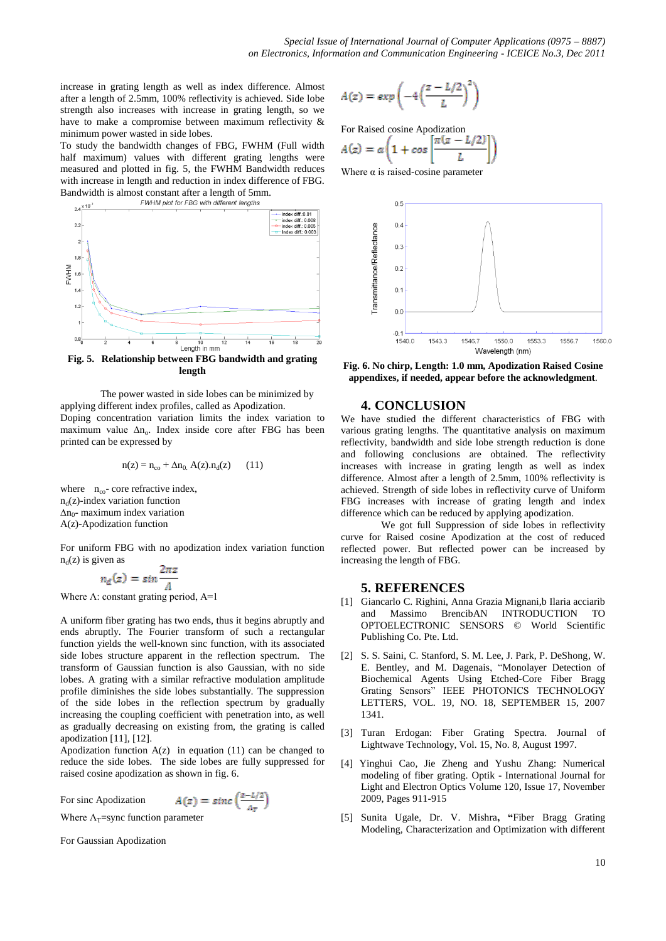increase in grating length as well as index difference. Almost after a length of 2.5mm, 100% reflectivity is achieved. Side lobe strength also increases with increase in grating length, so we have to make a compromise between maximum reflectivity & minimum power wasted in side lobes.

To study the bandwidth changes of FBG, FWHM (Full width half maximum) values with different grating lengths were measured and plotted in fig. 5, the FWHM Bandwidth reduces with increase in length and reduction in index difference of FBG. Bandwidth is almost constant after a length of 5mm.<br> $FWHM plot$  for FBG with different lengths



**Fig. 5. Relationship between FBG bandwidth and grating length**

The power wasted in side lobes can be minimized by applying different index profiles, called as Apodization. Doping concentration variation limits the index variation to maximum value ∆n<sub>o</sub>. Index inside core after FBG has been printed can be expressed by

$$
n(z) = n_{co} + \Delta n_0 \, A(z) . n_d(z) \qquad (11)
$$

where  $n_{\rm co}$ - core refractive index,  $n_d(z)$ -index variation function ∆n<sup>0</sup> - maximum index variation A(z)-Apodization function

For uniform FBG with no apodization index variation function  $n_d(z)$  is given as

$$
n_d(z) = \sin\frac{2\pi z}{\Lambda}
$$

Where  $\Lambda$ : constant grating period,  $A=1$ 

A uniform fiber grating has two ends, thus it begins abruptly and ends abruptly. The Fourier transform of such a rectangular function yields the well-known sinc function, with its associated side lobes structure apparent in the reflection spectrum. The transform of Gaussian function is also Gaussian, with no side lobes. A grating with a similar refractive modulation amplitude profile diminishes the side lobes substantially. The suppression of the side lobes in the reflection spectrum by gradually increasing the coupling coefficient with penetration into, as well as gradually decreasing on existing from, the grating is called apodization [11], [12].

Apodization function  $A(z)$  in equation (11) can be changed to reduce the side lobes. The side lobes are fully suppressed for raised cosine apodization as shown in fig. 6.

А

For sinc Apodization

$$
(z) = sinc\left(\frac{z - L/2}{\Delta_T}\right)
$$

Where  $\Lambda$ <sub>T</sub>=sync function parameter

For Gaussian Apodization

$$
A(z) = exp\left(-4\left(\frac{z - L/2}{L}\right)^2\right)
$$

For Raised cosine Apodization

$$
A(z) = \alpha \left( 1 + \cos \left[ \frac{\pi (z - L/2)}{L} \right] \right)
$$

Where  $\alpha$  is raised-cosine parameter



**Fig. 6. No chirp, Length: 1.0 mm, Apodization Raised Cosine appendixes, if needed, appear before the acknowledgment**.

## **4. CONCLUSION**

We have studied the different characteristics of FBG with various grating lengths. The quantitative analysis on maximum reflectivity, bandwidth and side lobe strength reduction is done and following conclusions are obtained. The reflectivity increases with increase in grating length as well as index difference. Almost after a length of 2.5mm, 100% reflectivity is achieved. Strength of side lobes in reflectivity curve of Uniform FBG increases with increase of grating length and index difference which can be reduced by applying apodization.

We got full Suppression of side lobes in reflectivity curve for Raised cosine Apodization at the cost of reduced reflected power. But reflected power can be increased by increasing the length of FBG.

#### **5. REFERENCES**

- [1] Giancarlo C. Righini, Anna Grazia Mignani,b Ilaria acciarib and Massimo BrencibAN INTRODUCTION TO OPTOELECTRONIC SENSORS © World Scientific Publishing Co. Pte. Ltd.
- [2] S. S. Saini, C. Stanford, S. M. Lee, J. Park, P. DeShong, W. E. Bentley, and M. Dagenais, "Monolayer Detection of Biochemical Agents Using Etched-Core Fiber Bragg Grating Sensors" IEEE PHOTONICS TECHNOLOGY LETTERS, VOL. 19, NO. 18, SEPTEMBER 15, 2007 1341.
- [3] Turan Erdogan: Fiber Grating Spectra. Journal of Lightwave Technology, Vol. 15, No. 8, August 1997.
- [4] Yinghui Cao, Jie Zheng and Yushu Zhang: Numerical modeling of fiber grating. Optik - [International Journal for](http://www.sciencedirect.com/science/journal/00304026)  Light [and Electron Optics](http://www.sciencedirect.com/science/journal/00304026) [Volume 120, Issue 17,](http://www.sciencedirect.com/science?_ob=PublicationURL&_tockey=%23TOC%2320439%232009%23998799982%231554092%23FLA%23&_cdi=20439&_pubType=J&view=c&_auth=y&_acct=C000053724&_version=1&_urlVersion=0&_userid=1562135&md5=89a8f65846c9d0d16e50769034e6ffa5) November 2009, Pages 911-915
- [5] Sunita Ugale, Dr. V. Mishra**, "**Fiber Bragg Grating Modeling, Characterization and Optimization with different